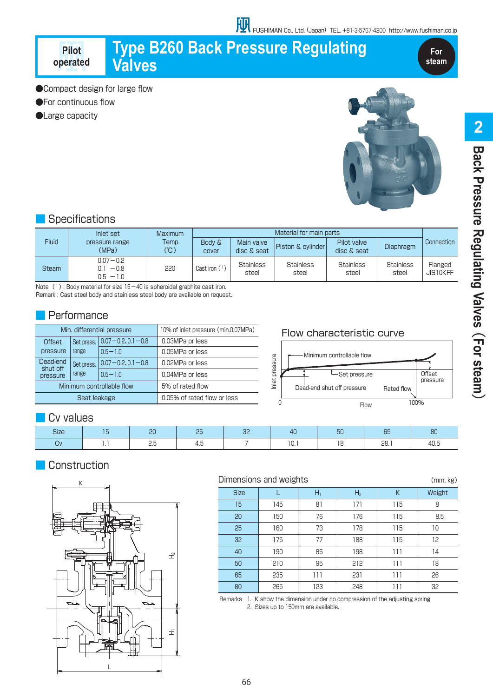# **Type B260 Back Pressure Regulating Valves**

**For steam**

●Compact design for large flow

●For continuous flow

**Pilot operated**

●Large capacity



## **Specifications**

| <b>Fluid</b> | Inlet set<br>pressure range<br>(MPa)  | Maximum<br>Temp.<br>(°C) | Material for main parts    |                           |                           |                            |                           |                     |
|--------------|---------------------------------------|--------------------------|----------------------------|---------------------------|---------------------------|----------------------------|---------------------------|---------------------|
|              |                                       |                          | <b>Body &amp;</b><br>cover | Main valve<br>disc & seat | Piston & cylinder         | Pilot valve<br>disc & seat | <b>Diaphragm</b>          | <b>Connection</b>   |
| <b>Steam</b> | $0.07 - 0.2$<br>$-0.8$<br>$0.5 - 1.0$ | 220                      | Cast iron $(1)$            | <b>Stainless</b><br>steel | <b>Stainless</b><br>steel | <b>Stainless</b><br>steel  | <b>Stainless</b><br>steel | Flanged<br>JIS10KFF |

Note  $(1)$ : Body material for size  $15-40$  is spheroidal graphite cast iron.

Remark : Cast steel body and stainless steel body are available on request.

## **Performance**

| Min. differential pressure       |                     |                           | 10% of inlet pressure (min.0.07MPa) |  |  |
|----------------------------------|---------------------|---------------------------|-------------------------------------|--|--|
| Offset<br>pressure               | Set press.<br>range | $ 0.07 - 0.2, 0.1 - 0.8$  | 0.03MPa or less                     |  |  |
|                                  |                     | $0.5 - 1.0$               | 0.05MPa or less                     |  |  |
| Dead-end<br>shut off<br>pressure | Set press.<br>range | $ 0.07 - 0.2, 0.1 - 0.8 $ | 0.02MPa or less                     |  |  |
|                                  |                     | $0.5 - 1.0$               | 0.04MPa or less                     |  |  |
|                                  |                     | Minimum controllable flow | 5% of rated flow                    |  |  |
|                                  | Seat leakage        |                           | 0.05% of rated flow or less         |  |  |

#### Flow characteristic curve



## Cv values

| <b>PIRE</b> | n <sub>0</sub><br><b>LU</b> | $\sim$ | n c<br>◡└ |                                           | ЮU | $\overline{\phantom{0}}$ |  |
|-------------|-----------------------------|--------|-----------|-------------------------------------------|----|--------------------------|--|
|             | <u>.</u>                    | . J    |           | . u. i<br>the contract of the contract of |    | 28.1                     |  |

## **Construction**



#### Dimensions and weights (mm, kg)

| DIMENSIONS and WEIGNTS<br>(mm, kg) |     |       |                |     |        |  |  |
|------------------------------------|-----|-------|----------------|-----|--------|--|--|
| <b>Size</b>                        |     | $H_1$ | H <sub>2</sub> | К   | Weight |  |  |
| 15                                 | 145 | 81    | 171            | 115 | 8      |  |  |
| 20                                 | 150 | 76    | 176            | 115 | 8.5    |  |  |
| 25                                 | 160 | 73    | 178            | 115 | 10     |  |  |
| 32 <sub>2</sub>                    | 175 | 77    | 188            | 115 | 12     |  |  |
| 40                                 | 190 | 85    | 198            | 111 | 14     |  |  |
| 50                                 | 210 | 95    | 212            | 111 | 18     |  |  |
| 65                                 | 235 | 111   | 231            | 111 | 26     |  |  |
| 80                                 | 265 | 123   | 248            | 111 | 32     |  |  |

Remarks 1. K show the dimension under no compression of the adjusting spring 2. Sizes up to 150mm are available.